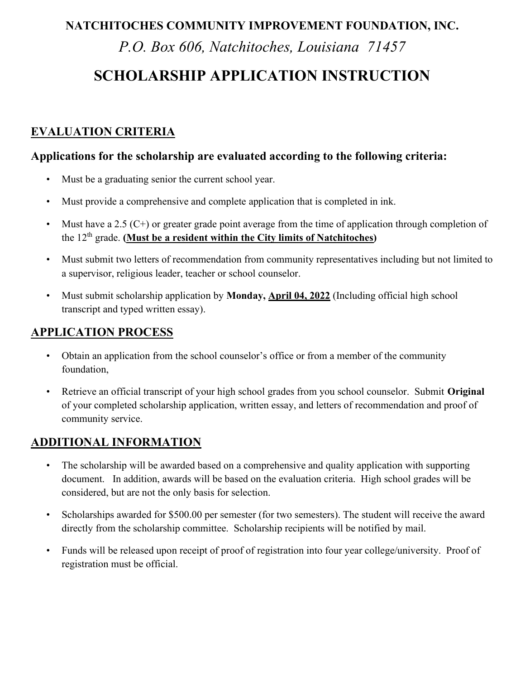#### NATCHITOCHES COMMUNITY IMPROVEMENT FOUNDATION, INC.

P.O. Box 606, Natchitoches, Louisiana 71457

# SCHOLARSHIP APPLICATION INSTRUCTION

### EVALUATION CRITERIA

#### Applications for the scholarship are evaluated according to the following criteria:

- Must be a graduating senior the current school year.
- Must provide a comprehensive and complete application that is completed in ink.
- Must have a 2.5  $(C+)$  or greater grade point average from the time of application through completion of the  $12<sup>th</sup>$  grade. (Must be a resident within the City limits of Natchitoches)
- Must submit two letters of recommendation from community representatives including but not limited to a supervisor, religious leader, teacher or school counselor.
- Must submit scholarship application by Monday, April 04, 2022 (Including official high school transcript and typed written essay).

#### APPLICATION PROCESS

- Obtain an application from the school counselor's office or from a member of the community foundation,
- Retrieve an official transcript of your high school grades from you school counselor. Submit Original of your completed scholarship application, written essay, and letters of recommendation and proof of community service.

#### ADDITIONAL INFORMATION

- The scholarship will be awarded based on a comprehensive and quality application with supporting document. In addition, awards will be based on the evaluation criteria. High school grades will be considered, but are not the only basis for selection.
- Scholarships awarded for \$500.00 per semester (for two semesters). The student will receive the award directly from the scholarship committee. Scholarship recipients will be notified by mail.
- Funds will be released upon receipt of proof of registration into four year college/university. Proof of registration must be official.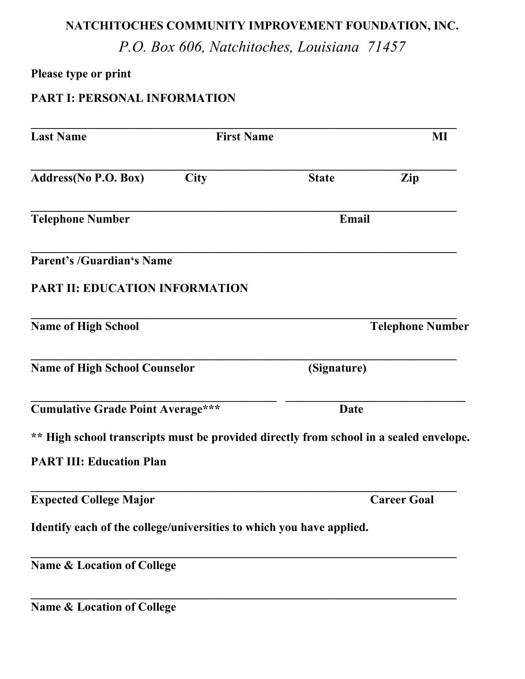## NATCHITOCHES COMMUNITY IMPROVEMENT FOUNDATION, INC.

P.O. Box 606, Natchitoches, Louisiana 71457

### Please type or print

## PART I: PERSONAL INFORMATION

| <b>Last Name</b>                                                                       | <b>First Name</b> |                         | MI                 |  |
|----------------------------------------------------------------------------------------|-------------------|-------------------------|--------------------|--|
| Address(No P.O. Box)                                                                   | <b>City</b>       | <b>State</b>            | Zip                |  |
| <b>Telephone Number</b>                                                                |                   |                         | Email              |  |
| <b>Parent's /Guardian's Name</b>                                                       |                   |                         |                    |  |
| <b>PART II: EDUCATION INFORMATION</b>                                                  |                   |                         |                    |  |
| <b>Name of High School</b>                                                             |                   | <b>Telephone Number</b> |                    |  |
| <b>Name of High School Counselor</b>                                                   |                   | (Signature)             |                    |  |
| <b>Cumulative Grade Point Average***</b>                                               |                   | Date                    |                    |  |
| ** High school transcripts must be provided directly from school in a sealed envelope. |                   |                         |                    |  |
| <b>PART III: Education Plan</b>                                                        |                   |                         |                    |  |
| <b>Expected College Major</b>                                                          |                   |                         | <b>Career Goal</b> |  |
| Identify each of the college/universities to which you have applied.                   |                   |                         |                    |  |
| <b>Name &amp; Location of College</b>                                                  |                   |                         |                    |  |
| <b>Name &amp; Location of College</b>                                                  |                   |                         |                    |  |